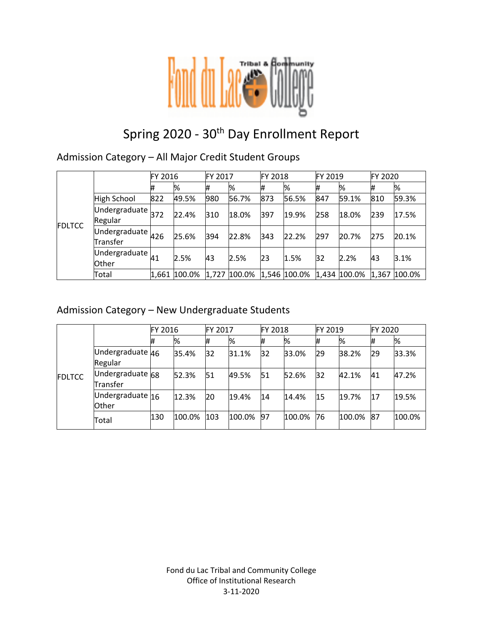

# Spring 2020 - 30<sup>th</sup> Day Enrollment Report

### Admission Category – All Major Credit Student Groups

|               |                                                             | FY 2016 |              | FY 2017 |              | <b>FY 2018</b> |       | FY 2019 |                                          | FY 2020 |       |
|---------------|-------------------------------------------------------------|---------|--------------|---------|--------------|----------------|-------|---------|------------------------------------------|---------|-------|
| <b>FDLTCC</b> |                                                             | #       | %            | #       | %            | #              | %     | #       | %                                        | #       | %     |
|               | <b>High School</b>                                          | 822     | 49.5%        | 980     | 56.7%        | 873            | 56.5% | 847     | 59.1%                                    | 810     | 59.3% |
|               | $\overline{\text{Undergraduate}}$ <sub>372</sub><br>Regular |         | 22.4%        | 310     | 18.0%        | 397            | 19.9% | 258     | 18.0%                                    | 239     | 17.5% |
|               | Undergraduate $426$<br>Transfer                             |         | 25.6%        | 394     | 22.8%        | 343            | 22.2% | 297     | 20.7%                                    | 275     | 20.1% |
|               | Undergraduate $\mu_1$<br>Other                              |         | 2.5%         | 43      | 2.5%         | 23             | 1.5%  | 32      | 2.2%                                     | 43      | 3.1%  |
|               | Total                                                       |         | 1,661 100.0% |         | 1,727 100.0% |                |       |         | $1,546$ 100.0% 1,434 100.0% 1,367 100.0% |         |       |

### Admission Category – New Undergraduate Students

|               |                              |     | FY 2016 |     | FY 2017 |           | <b>FY 2018</b> |    | FY 2019 |    | FY 2020 |  |
|---------------|------------------------------|-----|---------|-----|---------|-----------|----------------|----|---------|----|---------|--|
| <b>FDLTCC</b> |                              | #   | %       | #   | %       | Ħ         | %              | #  | %       | #  | %       |  |
|               | Undergraduate 46<br>Regular  |     | 35.4%   | 32  | 31.1%   | 32        | 33.0%          | 29 | 38.2%   | 29 | 33.3%   |  |
|               | Undergraduate 68<br>Transfer |     | 52.3%   | 51  | 49.5%   | 51        | 52.6%          | 32 | 42.1%   | 41 | 47.2%   |  |
|               | Undergraduate 16<br>Other    |     | 12.3%   | 20  | 19.4%   | 14        | 14.4%          | 15 | 19.7%   | 17 | 19.5%   |  |
|               | Total                        | 130 | 100.0%  | 103 | 100.0%  | <b>97</b> | 100.0%         | 76 | 100.0%  | 87 | 100.0%  |  |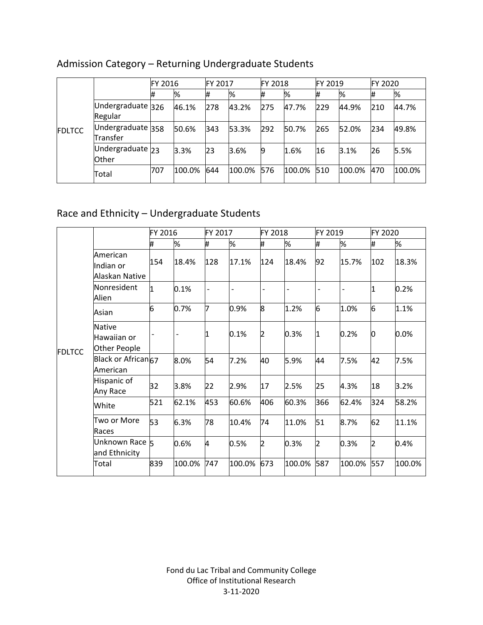|               |                                    | FY 2016 |        | FY 2017 |        | <b>FY 2018</b> |        | FY 2019 |        | FY 2020 |        |
|---------------|------------------------------------|---------|--------|---------|--------|----------------|--------|---------|--------|---------|--------|
| <b>FDLTCC</b> |                                    | 1#      | %      |         | %      | ₩              | %      | #       | %      |         | %      |
|               | Undergraduate 326<br>Regular       |         | 46.1%  | 278     | 43.2%  | 275            | 47.7%  | 229     | 44.9%  | 210     | 44.7%  |
|               | Undergraduate 358<br>Transfer      |         | 50.6%  | 343     | 53.3%  | 292            | 50.7%  | 265     | 52.0%  | 234     | 49.8%  |
|               | Undergraduate $23$<br><b>Other</b> |         | 3.3%   | 23      | 3.6%   | 9              | 1.6%   | 16      | 3.1%   | 26      | 5.5%   |
|               | Total                              | 707     | 100.0% | 644     | 100.0% | 576            | 100.0% | 510     | 100.0% | 470     | 100.0% |

# Admission Category – Returning Undergraduate Students

# Race and Ethnicity – Undergraduate Students

|               |                                              | FY 2016     |        | FY 2017 |        | FY 2018 |        | FY 2019 |        | FY 2020 |        |
|---------------|----------------------------------------------|-------------|--------|---------|--------|---------|--------|---------|--------|---------|--------|
|               |                                              | #           | %      | #       | %      | #       | %      | #       | %      | #       | %      |
|               | American<br>Indian or<br>Alaskan Native      | 154         | 18.4%  | 128     | 17.1%  | 124     | 18.4%  | 92      | 15.7%  | 102     | 18.3%  |
|               | Nonresident<br>Alien                         | $\mathbf 1$ | 0.1%   |         |        |         |        |         |        | 11      | 0.2%   |
|               | Asian                                        | 6           | 0.7%   | 17      | 0.9%   | 8       | 1.2%   | 6       | 1.0%   | 6       | 1.1%   |
| <b>FDLTCC</b> | <b>Native</b><br>Hawaiian or<br>Other People |             |        | 11      | 0.1%   | 2       | 0.3%   | 1       | 0.2%   | 0       | 0.0%   |
|               | Black or African67<br>American               |             | 8.0%   | 54      | 7.2%   | 40      | 5.9%   | 44      | 7.5%   | 42      | 7.5%   |
|               | Hispanic of<br>Any Race                      | 32          | 3.8%   | 22      | 2.9%   | 17      | 2.5%   | 25      | 4.3%   | 18      | 3.2%   |
|               | White                                        | 521         | 62.1%  | 453     | 60.6%  | 406     | 60.3%  | 366     | 62.4%  | 324     | 58.2%  |
|               | Two or More<br>Races                         | 53          | 6.3%   | 78      | 10.4%  | 74      | 11.0%  | 51      | 8.7%   | 62      | 11.1%  |
|               | Unknown Race 5<br>and Ethnicity              |             | 0.6%   | 4       | 0.5%   | 2       | 0.3%   | 2       | 0.3%   | 2       | 0.4%   |
|               | Total                                        | 839         | 100.0% | 747     | 100.0% | 673     | 100.0% | 587     | 100.0% | 557     | 100.0% |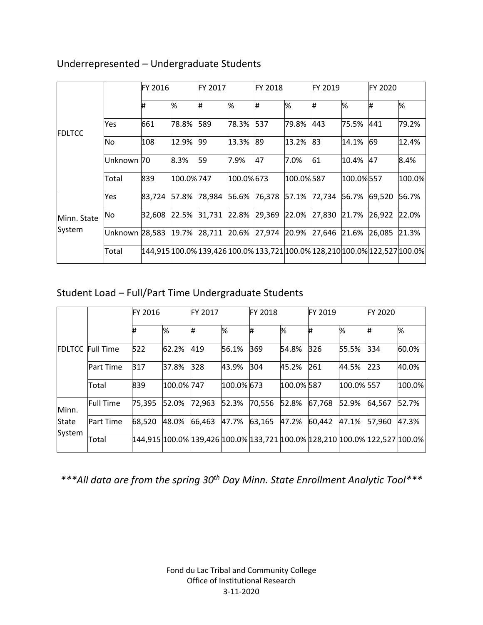|               |                | <b>FY 2016</b> |           | FY 2017 |           | <b>FY 2018</b> |           | FY 2019 |           | <b>FY 2020</b>                                                             |        |
|---------------|----------------|----------------|-----------|---------|-----------|----------------|-----------|---------|-----------|----------------------------------------------------------------------------|--------|
| <b>FDLTCC</b> |                | #              | %         | ₩       | %         | Ħ.             | %         | #       | %         | #                                                                          | %      |
|               | Yes            | 661            | 78.8%     | 589     | 78.3%     | 537            | 79.8%     | 443     | 75.5%     | 441                                                                        | 79.2%  |
|               | <b>No</b>      | 108            | 12.9%     | 99      | 13.3%     | 89             | 13.2%     | 83      | 14.1%     | 69                                                                         | 12.4%  |
|               | Unknown 70     |                | 8.3%      | 59      | 7.9%      | 47             | 7.0%      | 61      | 10.4%     | 47                                                                         | 8.4%   |
|               | Total          | 839            | 100.0%747 |         | 100.0%673 |                | 100.0%587 |         | 100.0%557 |                                                                            | 100.0% |
|               | Yes            | 83,724         | 57.8%     | 78,984  | 56.6%     | 76,378         | 57.1%     | 72,734  | 56.7%     | 69,520                                                                     | 56.7%  |
| Minn. State   | No             | 32,608         | 22.5%     | 31,731  | 22.8%     | 29,369         | 22.0%     | 27,830  | 21.7%     | 26,922                                                                     | 22.0%  |
| System        | Unknown 28,583 |                | 19.7%     | 28,711  |           | 20.6% 27,974   | 20.9%     | 27,646  | 21.6%     | 26,085                                                                     | 21.3%  |
|               | Total          |                |           |         |           |                |           |         |           | 144,915 100.0% 139,426 100.0% 133,721 100.0% 128,210 100.0% 122,527 100.0% |        |

### Underrepresented – Undergraduate Students

# Student Load – Full/Part Time Undergraduate Students

|        |                         | FY 2016 |            | <b>FY 2017</b> |            | FY 2018 |            | FY 2019 |            | <b>FY 2020</b>                                                                      |             |
|--------|-------------------------|---------|------------|----------------|------------|---------|------------|---------|------------|-------------------------------------------------------------------------------------|-------------|
|        |                         | #       | %          | Ħ              | %          | #       | %          | #       | %          | #                                                                                   | %           |
|        | <b>FDLTCC Full Time</b> | 522     | 62.2%      | 419            | 56.1%      | 369     | 54.8%      | 326     | 55.5%      | 334                                                                                 | 60.0%       |
|        | Part Time               | 317     | 37.8%      | 328            | 43.9%      | 304     | 45.2%      | 261     | 44.5%      | 223                                                                                 | 40.0%       |
|        | Total                   | 839     | 100.0% 747 |                | 100.0% 673 |         | 100.0% 587 |         | 100.0% 557 |                                                                                     | $ 100.0\% $ |
| Minn.  | <b>Full Time</b>        | 75,395  | 52.0%      | 72,963         | 52.3%      | 70,556  | 52.8%      | 67,768  | 52.9%      | 64,567                                                                              | 52.7%       |
| State  | <b>Part Time</b>        | 68,520  | 48.0%      | 66.463         | 47.7%      | 63,165  | 47.2%      | 60,442  | 47.1%      | 57.960                                                                              | 47.3%       |
| System | Total                   |         |            |                |            |         |            |         |            | 144,915  100.0%  139,426  100.0%  133,721  100.0%  128,210  100.0%  122,527  100.0% |             |

*\*\*\*All data are from the spring 30th Day Minn. State Enrollment Analytic Tool\*\*\**